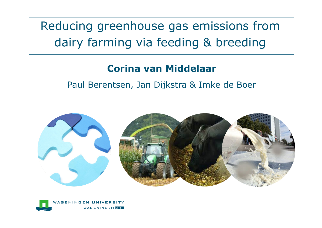Reducing greenhouse gas emissions from dairy farming via feeding & breeding

#### **Corina van Middelaar**

Paul Berentsen, Jan Dijkstra & Imke de Boer



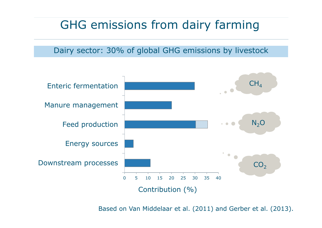#### GHG emissions from dairy farming

Dairy sector: 30% of global GHG emissions by livestock



Based on Van Middelaar et al. (2011) and Gerber et al. (2013).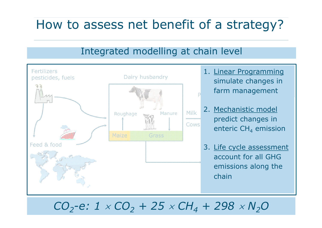## How to assess net benefit of a strategy?

#### Integrated modelling at chain level



*CO2-e: 1 CO2 + 25 CH4 + 298 N2O*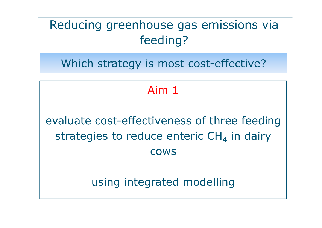## Reducing greenhouse gas emissions via feeding?

Which strategy is most cost-effective?

#### Aim 1

evaluate cost-effectiveness of three feeding strategies to reduce enteric CH<sub>4</sub> in dairy cows

using integrated modelling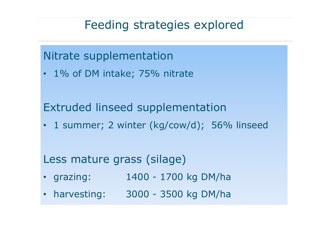#### Feeding strategies explored

Nitrate supplementation

• 1% of DM intake; 75% nitrate

Extruded linseed supplementation

• 1 summer; 2 winter (kg/cow/d); 56% linseed

Less mature grass (silage)

- grazing: 1400 - 1700 kg DM/ha
- harvesting: 3000 3500 kg DM/ha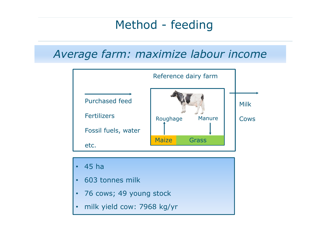## Method - feeding

#### *Average farm: maximize labour income*



- 45 ha
- •603 tonnes milk
- 76 cows; 49 young stock
- •milk yield cow: 7968 kg/yr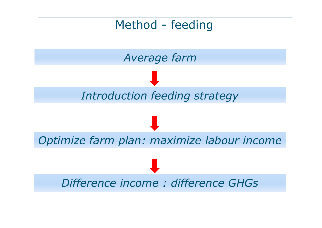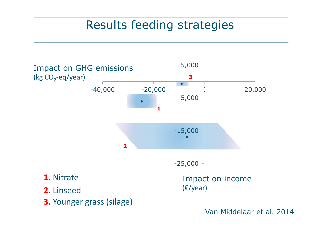## Results feeding strategies



Van Middelaar et al. 2014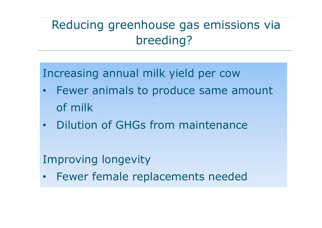## Reducing greenhouse gas emissions via breeding?

Increasing annual milk yield per cow

- • Fewer animals to produce same amount of milk
- Dilution of GHGs from maintenance

Improving longevity

•Fewer female replacements needed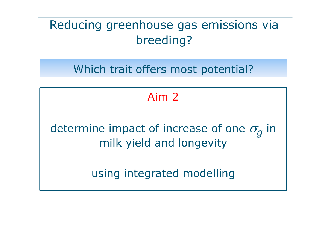## Reducing greenhouse gas emissions via breeding?

Which trait offers most potential?

### Aim 2

determine impact of increase of one  $\sigma_{\hspace{-1.2pt}g}$  in milk yield and longevity

using integrated modelling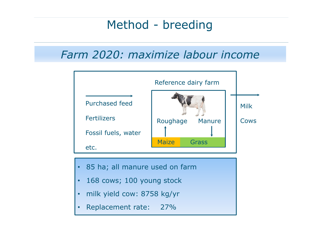### Method - breeding

#### *Farm 2020: maximize labour income*



- •85 ha; all manure used on farm
- •168 cows; 100 young stock
- •milk yield cow: 8758 kg/yr
- •Replacement rate: 27%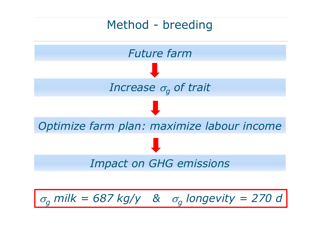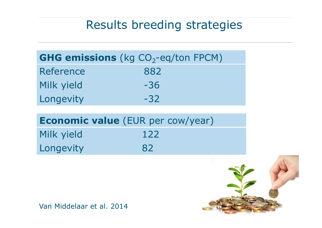### Results breeding strategies

|            | <b>GHG emissions</b> (kg $CO2$ -eq/ton FPCM) |  |
|------------|----------------------------------------------|--|
| Reference  | 882                                          |  |
| Milk yield | $-36$                                        |  |
| Longevity  | $-32$                                        |  |

| <b>Economic value</b> (EUR per cow/year) |     |
|------------------------------------------|-----|
| Milk yield                               | 122 |
| Longevity                                | 82  |



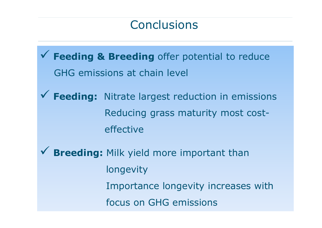#### **Conclusions**

 **Feeding & Breeding** offer potential to reduce GHG emissions at chain level

 **Feeding:** Nitrate largest reduction in emissions Reducing grass maturity most costeffective

 **Breeding:** Milk yield more important than longevity Importance longevity increases with focus on GHG emissions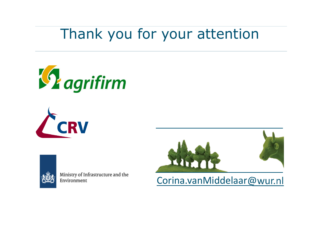# Thank you for your attention







Ministry of Infrastructure and the Environment



Corina.vanMiddelaar@wur.nl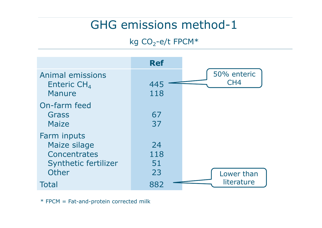## GHG emissions method-1

#### kg CO $_2$ -e/t FPCM\*

|                                                                                     | <b>Ref</b>            |                                |
|-------------------------------------------------------------------------------------|-----------------------|--------------------------------|
| <b>Animal emissions</b><br>Enteric $CH4$<br><b>Manure</b>                           | 445<br>118            | 50% enteric<br>CH <sub>4</sub> |
| On-farm feed<br>Grass<br>Maize                                                      | 67<br>37              |                                |
| Farm inputs<br>Maize silage<br>Concentrates<br><b>Synthetic fertilizer</b><br>Other | 24<br>118<br>51<br>23 | Lower than                     |
| <b>Total</b>                                                                        | 882                   | literature                     |

\* FPCM = Fat-and-protein corrected milk